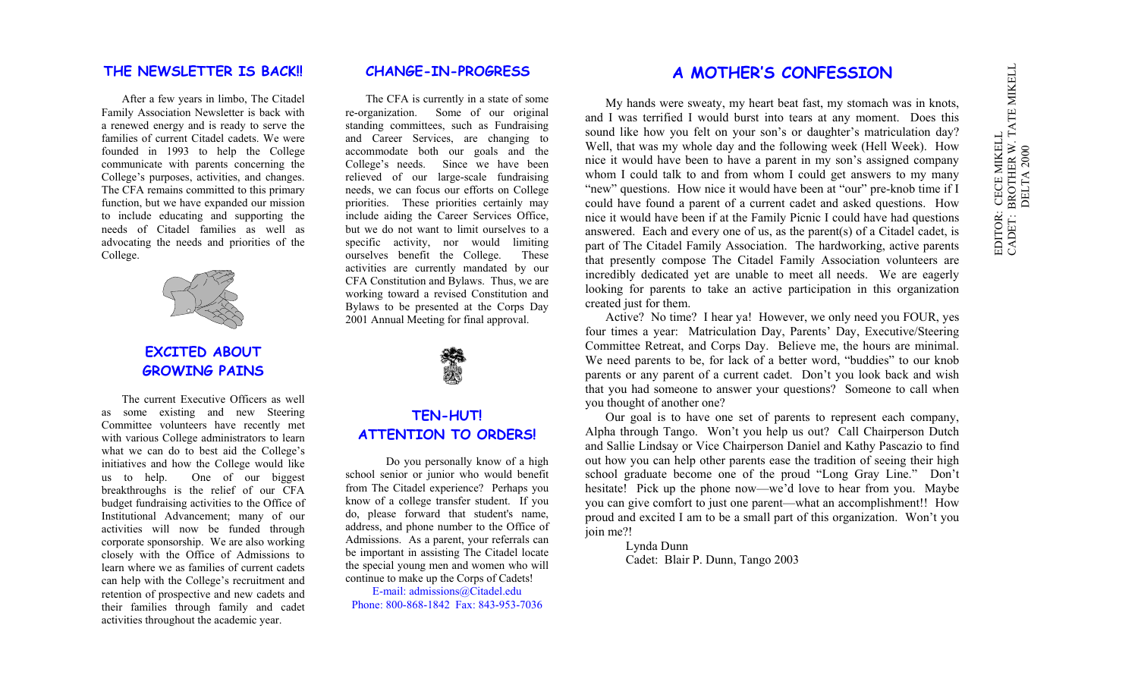#### **THE NEWSLETTER IS BACK!!**

After a few years in limbo, The Citadel Family Association Newsletter is back with a renewed energy and is ready to serve the families of current Citadel cadets. We werefounded in 1993 to help the College communicate with parents concerning the College's purposes, activities, and changes. The CFA remains committed to this primary function, but we have expanded our mission to include educating and supporting the needs of Citadel families as well as advocating the needs and priorities of the College.



## **EXCITED ABOUTGROWING PAINS**

The current Executive Officers as wellas some existing and new Steering Committee volunteers have recently met with various College administrators to learn what we can do to best aid the College's initiatives and how the College would like us to help. One of our biggest breakthroughs is the relief of our CFA budget fundraising activities to the Office of Institutional Advancement; many of our activities will now be funded through corporate sponsorship. We are also working closely with the Office of Admissions to learn where we as families of current cadetscan help with the College's recruitment and retention of prospective and new cadets and their families through family and cadet activities throughout the academic year.

### **CHANGE-IN-PROGRESS**

The CFA is currently in a state of some re-organization. Some of our original standing committees, such as Fundraising and Career Services, are changing to accommodate both our goals and the College's needs. Since we have been relieved of our large-scale fundraising needs, we can focus our efforts on College priorities. These priorities certainly may include aiding the Career Services Office, but we do not want to limit ourselves to a specific activity, nor would limiting ourselves benefit the College. These activities are currently mandated by our CFA Constitution and Bylaws. Thus, we are working toward a revised Constitution and Bylaws to be presented at the Corps Day 2001 Annual Meeting for final approval.



## **TEN-HUT! ATTENTION TO ORDERS!**

Do you personally know of a high school senior or junior who would benefit from The Citadel experience? Perhaps you know of a college transfer student. If you do, please forward that student's name, address, and phone number to the Office of Admissions. As a parent, your referrals can be important in assisting The Citadel locate the special young men and women who will continue to make up the Corps of Cadets!

E-mail: admissions@Citadel.edu Phone: 800-868-1842 Fax: 843-953-7036

## **A MOTHER'S CONFESSION**

My hands were sweaty, my heart beat fast, my stomach was in knots, and I was terrified I would burst into tears at any moment. Does this sound like how you felt on your son's or daughter's matriculation day? Well, that was my whole day and the following week (Hell Week). How nice it would have been to have a parent in my son's assigned company whom I could talk to and from whom I could get answers to my many "new" questions. How nice it would have been at "our" pre-knob time if I could have found a parent of a current cadet and asked questions. How nice it would have been if at the Family Picnic I could have had questions answered. Each and every one of us, as the parent(s) of a Citadel cadet, is part of The Citadel Family Association. The hardworking, active parents that presently compose The Citadel Family Association volunteers are incredibly dedicated yet are unable to meet all needs. We are eagerly looking for parents to take an active participation in this organization created just for them.

Active? No time? I hear ya! However, we only need you FOUR, yes four times a year: Matriculation Day, Parents' Day, Executive/Steering Committee Retreat, and Corps Day. Believe me, the hours are minimal. We need parents to be, for lack of a better word, "buddies" to our knob parents or any parent of a current cadet. Don't you look back and wish that you had someone to answer your questions? Someone to call when you thought of another one?

Our goal is to have one set of parents to represent each company, Alpha through Tango. Won't you help us out? Call Chairperson Dutch and Sallie Lindsay or Vice Chairperson Daniel and Kathy Pascazio to find out how you can help other parents ease the tradition of seeing their high school graduate become one of the proud "Long Gray Line." Don't hesitate! Pick up the phone now—we'd love to hear from you. Maybe you can give comfort to just one parent—what an accomplishment!! How proud and excited I am to be a small part of this organization. Won't you join me?!

> Lynda Dunn Cadet: Blair P. Dunn, Tango 2003